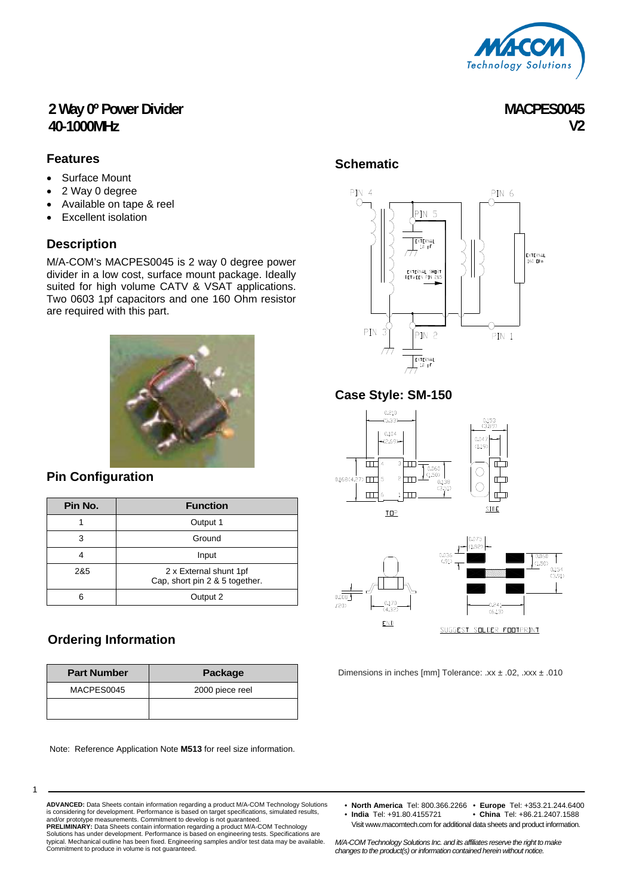

**MACPES0045** 

**V2** 

## **2 Way 0º Power Divider 40-1000MHz**

#### **Features**

- Surface Mount
- 2 Way 0 degree
- Available on tape & reel
- Excellent isolation

## **Description**

M/A-COM's MACPES0045 is 2 way 0 degree power divider in a low cost, surface mount package. Ideally suited for high volume CATV & VSAT applications. Two 0603 1pf capacitors and one 160 Ohm resistor are required with this part.



## **Pin Configuration**

| Pin No. | <b>Function</b>                                          |  |  |
|---------|----------------------------------------------------------|--|--|
|         | Output 1                                                 |  |  |
| 3       | Ground                                                   |  |  |
|         | Input                                                    |  |  |
| 2&5     | 2 x External shunt 1pf<br>Cap, short pin 2 & 5 together. |  |  |
|         | Output 2                                                 |  |  |

## **Ordering Information**

| <b>Part Number</b> | Package         |  |  |  |
|--------------------|-----------------|--|--|--|
| MACPES0045         | 2000 piece reel |  |  |  |
|                    |                 |  |  |  |

Note: Reference Application Note **M513** for reel size information.

## **Schematic**



## **Case Style: SM-150**





 $0.008$ 

 $(20)$ 



Dimensions in inches [mm] Tolerance: .xx ± .02, .xxx ± .010

1

**ADVANCED:** Data Sheets contain information regarding a product M/A-COM Technology Solutions is considering for development. Performance is based on target specifications, simulated results, and/or prototype measurements. Commitment to develop is not guaranteed. **PRELIMINARY:** Data Sheets contain information regarding a product M/A-COM Technology Solutions has under development. Performance is based on engineering tests. Specifications are<br>typical. Mechanical outline has been fixed. Engineering samples and/or test data may be available.<br>Commitment to produce in vol

- **North America** Tel: 800.366.2266 **Europe** Tel: +353.21.244.6400 • China Tel: +86.21.2407.1588
	- Visit www.macomtech.com for additional data sheets and product information.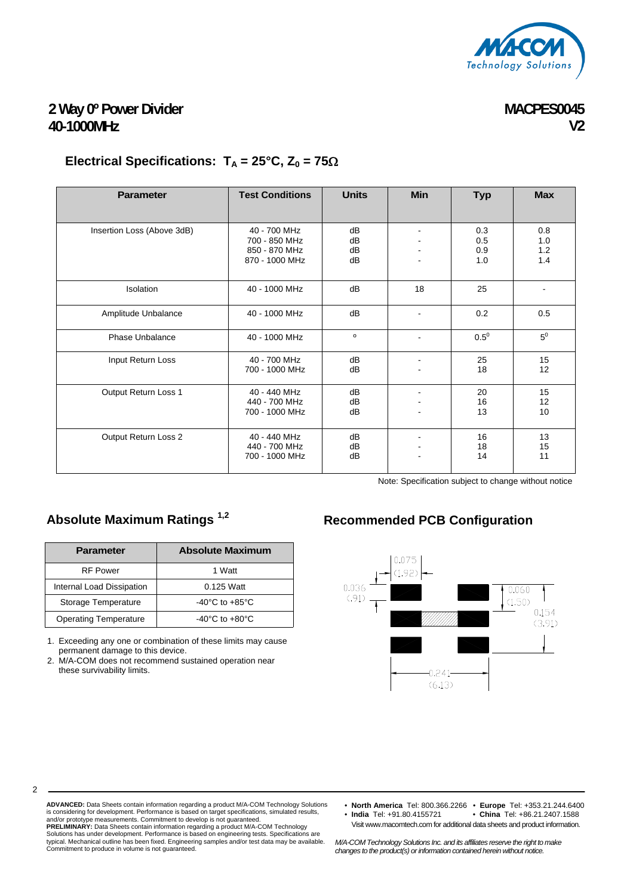

## **MACPES0045 V2**

# **2 Way 0º Power Divider 40-1000MHz**

# **Electrical Specifications:**  $T_A = 25^\circ \text{C}$ ,  $Z_0 = 75\Omega$

| <b>Parameter</b>           | <b>Test Conditions</b>                                           | <b>Units</b>         | <b>Min</b> | <b>Typ</b>               | <b>Max</b>               |
|----------------------------|------------------------------------------------------------------|----------------------|------------|--------------------------|--------------------------|
| Insertion Loss (Above 3dB) | 40 - 700 MHz<br>700 - 850 MHz<br>850 - 870 MHz<br>870 - 1000 MHz | dB<br>dB<br>dB<br>dB |            | 0.3<br>0.5<br>0.9<br>1.0 | 0.8<br>1.0<br>1.2<br>1.4 |
| Isolation                  | 40 - 1000 MHz                                                    | dB                   | 18         | 25                       |                          |
| Amplitude Unbalance        | 40 - 1000 MHz                                                    | dB                   |            | 0.2                      | 0.5                      |
| Phase Unbalance            | 40 - 1000 MHz                                                    | $\mathsf{o}\,$       |            | $0.5^0$                  | $5^0$                    |
| Input Return Loss          | 40 - 700 MHz<br>700 - 1000 MHz                                   | dB<br>dB             |            | 25<br>18                 | 15<br>12                 |
| Output Return Loss 1       | 40 - 440 MHz<br>440 - 700 MHz<br>700 - 1000 MHz                  | dB<br>dB<br>dB       |            | 20<br>16<br>13           | 15<br>12<br>10           |
| Output Return Loss 2       | 40 - 440 MHz<br>440 - 700 MHz<br>700 - 1000 MHz                  | dB<br>dB<br>dB       |            | 16<br>18<br>14           | 13<br>15<br>11           |

Note: Specification subject to change without notice

| <b>Parameter</b>             | <b>Absolute Maximum</b>            |  |  |  |
|------------------------------|------------------------------------|--|--|--|
| <b>RF Power</b>              | 1 Watt                             |  |  |  |
| Internal Load Dissipation    | $0.125$ Watt                       |  |  |  |
| Storage Temperature          | $-40^{\circ}$ C to $+85^{\circ}$ C |  |  |  |
| <b>Operating Temperature</b> | $-40^{\circ}$ C to $+80^{\circ}$ C |  |  |  |

1. Exceeding any one or combination of these limits may cause permanent damage to this device.

2. M/A-COM does not recommend sustained operation near these survivability limits.

2

# Absolute Maximum Ratings<sup>1,2</sup> Recommended PCB Configuration



**ADVANCED:** Data Sheets contain information regarding a product M/A-COM Technology Solutions<br>is considering for development. Performance is based on target specifications, simulated results,<br>and/or prototype measurements. Solutions has under development. Performance is based on engineering tests. Specifications are<br>typical. Mechanical outline has been fixed. Engineering samples and/or test data may be available.<br>Commitment to produce in vol

• **North America** Tel: 800.366.2266 • **Europe** Tel: +353.21.244.6400 • China Tel: +86.21.2407.1588

Visit www.macomtech.com for additional data sheets and product information.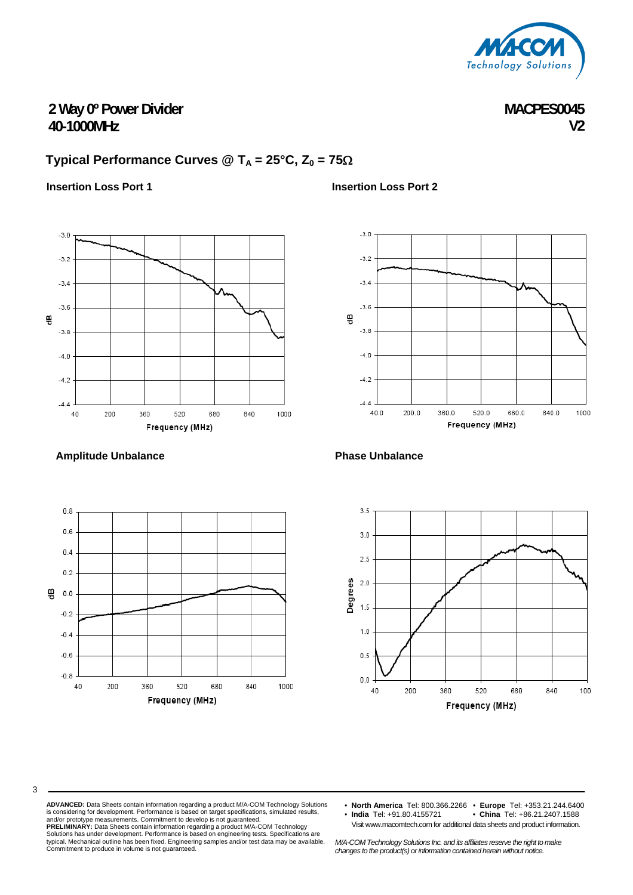

**MACPES0045 V2** 

# **2 Way 0º Power Divider 40-1000MHz**

# **Typical Performance Curves @ T<sub>A</sub> = 25°C, Z<sub>0</sub> = 75** $\Omega$

#### **Insertion Loss Port 1**



#### **Amplitude Unbalance**

3



#### **Insertion Loss Port 2**



#### **Phase Unbalance**



**ADVANCED:** Data Sheets contain information regarding a product M/A-COM Technology Solutions is considering for development. Performance is based on target specifications, simulated results, and/or prototype measurements. Commitment to develop is not guaranteed. **PRELIMINARY:** Data Sheets contain information regarding a product M/A-COM Technology Solutions has under development. Performance is based on engineering tests. Specifications are<br>typical. Mechanical outline has been fixed. Engineering samples and/or test data may be available.<br>Commitment to produce in vol

• **North America** Tel: 800.366.2266 • **Europe** Tel: +353.21.244.6400 • China Tel: +86.21.2407.1588 Visit www.macomtech.com for additional data sheets and product information.